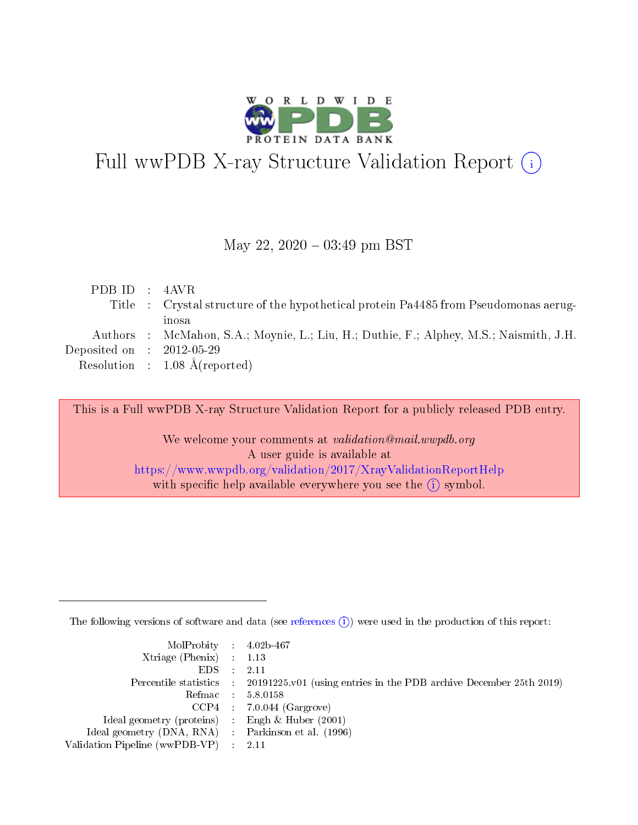

# Full wwPDB X-ray Structure Validation Report (i)

#### May 22,  $2020 - 03:49$  pm BST

| PDB ID : $4AVR$             |                                                                                        |
|-----------------------------|----------------------------------------------------------------------------------------|
|                             | Title : Crystal structure of the hypothetical protein Pa4485 from Pseudomonas aerug-   |
|                             | inosa                                                                                  |
|                             | Authors : McMahon, S.A.; Moynie, L.; Liu, H.; Duthie, F.; Alphey, M.S.; Naismith, J.H. |
| Deposited on : $2012-05-29$ |                                                                                        |
|                             | Resolution : $1.08 \text{ Å}$ (reported)                                               |
|                             |                                                                                        |

This is a Full wwPDB X-ray Structure Validation Report for a publicly released PDB entry.

We welcome your comments at validation@mail.wwpdb.org A user guide is available at <https://www.wwpdb.org/validation/2017/XrayValidationReportHelp> with specific help available everywhere you see the  $(i)$  symbol.

The following versions of software and data (see [references](https://www.wwpdb.org/validation/2017/XrayValidationReportHelp#references)  $(i)$ ) were used in the production of this report:

| $MolProbability$ 4.02b-467                          |                                                                                            |
|-----------------------------------------------------|--------------------------------------------------------------------------------------------|
| Xtriage (Phenix) $: 1.13$                           |                                                                                            |
| $EDS$ :                                             | -2.11                                                                                      |
|                                                     | Percentile statistics : 20191225.v01 (using entries in the PDB archive December 25th 2019) |
|                                                     | Refmac : 5.8.0158                                                                          |
|                                                     | $CCP4$ : 7.0.044 (Gargrove)                                                                |
| Ideal geometry (proteins) : Engh $\&$ Huber (2001)  |                                                                                            |
| Ideal geometry (DNA, RNA) : Parkinson et al. (1996) |                                                                                            |
| Validation Pipeline (wwPDB-VP)                      | -2.11                                                                                      |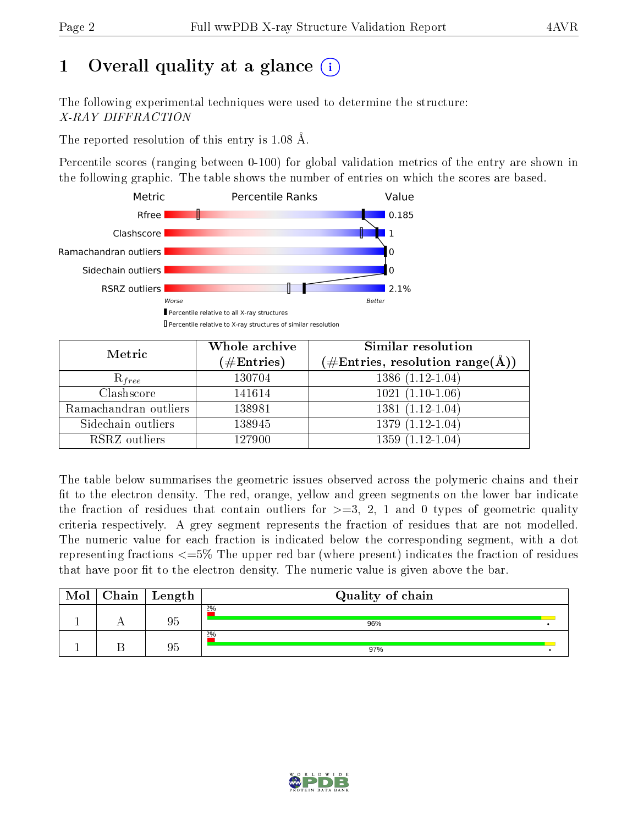# 1 [O](https://www.wwpdb.org/validation/2017/XrayValidationReportHelp#overall_quality)verall quality at a glance  $(i)$

The following experimental techniques were used to determine the structure: X-RAY DIFFRACTION

The reported resolution of this entry is 1.08 Å.

Percentile scores (ranging between 0-100) for global validation metrics of the entry are shown in the following graphic. The table shows the number of entries on which the scores are based.



| Metric                | Whole archive          | Similar resolution                                         |
|-----------------------|------------------------|------------------------------------------------------------|
|                       | $(\#\mathrm{Entries})$ | $(\#\text{Entries}, \text{resolution range}(\text{\AA})\)$ |
| $R_{free}$            | 130704                 | $1386(1.12-1.04)$                                          |
| Clashscore            | 141614                 | $1021(1.10-1.06)$                                          |
| Ramachandran outliers | 138981                 | $1381(1.12-1.04)$                                          |
| Sidechain outliers    | 138945                 | $1379(1.12-1.04)$                                          |
| RSRZ outliers         | 127900                 | $1359(1.12-1.04)$                                          |

The table below summarises the geometric issues observed across the polymeric chains and their fit to the electron density. The red, orange, yellow and green segments on the lower bar indicate the fraction of residues that contain outliers for  $>=3, 2, 1$  and 0 types of geometric quality criteria respectively. A grey segment represents the fraction of residues that are not modelled. The numeric value for each fraction is indicated below the corresponding segment, with a dot representing fractions <=5% The upper red bar (where present) indicates the fraction of residues that have poor fit to the electron density. The numeric value is given above the bar.

| Mol | $Chain \  Length$ | Quality of chain |  |
|-----|-------------------|------------------|--|
|     | 95                | 2%<br>96%        |  |
|     | 95                | 2%<br>97%        |  |

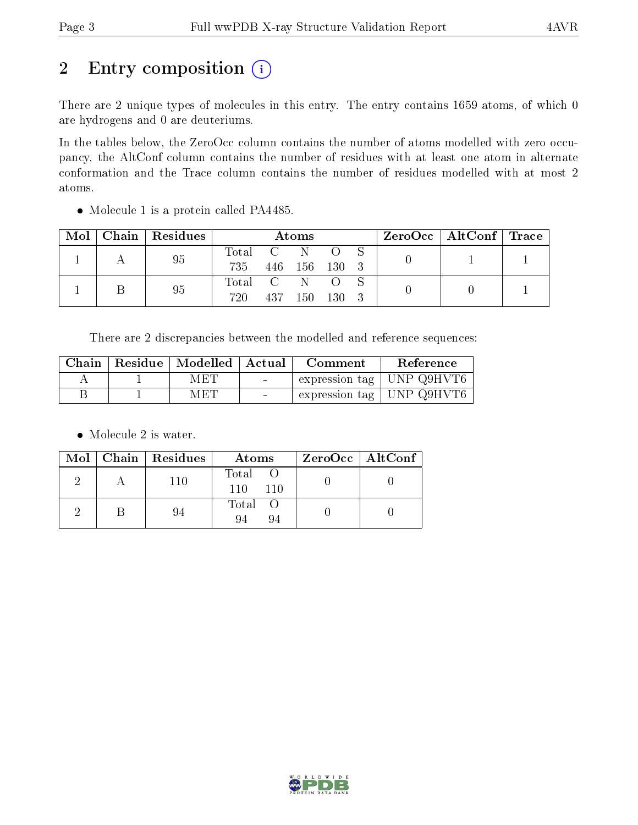# 2 Entry composition (i)

There are 2 unique types of molecules in this entry. The entry contains 1659 atoms, of which 0 are hydrogens and 0 are deuteriums.

In the tables below, the ZeroOcc column contains the number of atoms modelled with zero occupancy, the AltConf column contains the number of residues with at least one atom in alternate conformation and the Trace column contains the number of residues modelled with at most 2 atoms.

| Mol | Chain Residues | Atoms |     |               |       |  | $\rm ZeroOcc \mid AltConf \mid Trace$ |  |
|-----|----------------|-------|-----|---------------|-------|--|---------------------------------------|--|
|     | 95             | Total |     | -N            |       |  |                                       |  |
|     |                | 735   |     | 446 156 130 3 |       |  |                                       |  |
|     | 95             | Total |     |               |       |  |                                       |  |
|     |                | 720   | 437 | 150           | - 130 |  |                                       |  |

Molecule 1 is a protein called PA4485.

There are 2 discrepancies between the modelled and reference sequences:

| Chain | Residue   Modelled   Actual |        | Comment                           | Reference                         |
|-------|-----------------------------|--------|-----------------------------------|-----------------------------------|
|       | МЕТ                         | $\sim$ | expression tag $\vert$ UNP Q9HVT6 |                                   |
|       | MET                         |        |                                   | $\pm$ expression tag   UNP Q9HVT6 |

• Molecule 2 is water.

|  | $Mol$   Chain   Residues | Atoms               | $ZeroOcc \   \$ AltConf |
|--|--------------------------|---------------------|-------------------------|
|  | 110                      | Total<br>110<br>110 |                         |
|  | 94                       | Total O<br>94<br>94 |                         |

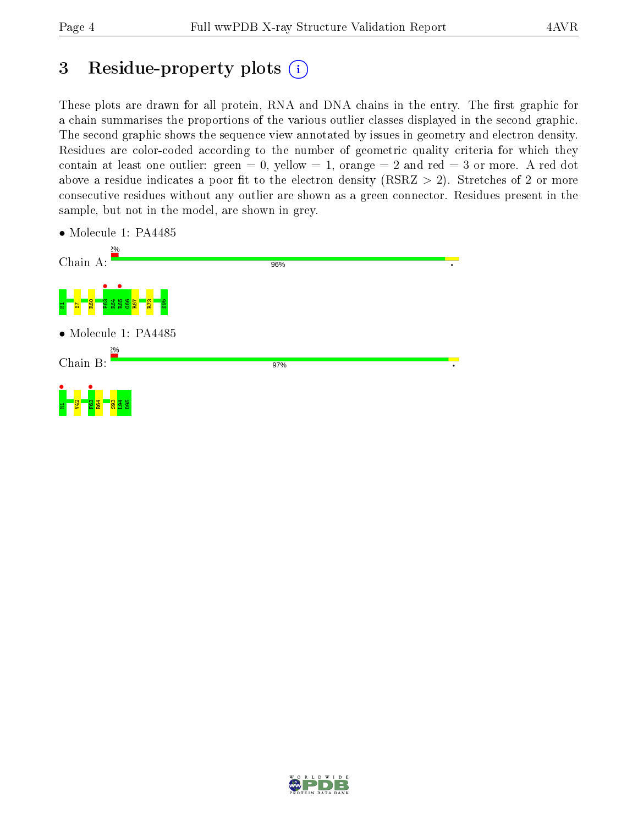# 3 Residue-property plots  $(i)$

These plots are drawn for all protein, RNA and DNA chains in the entry. The first graphic for a chain summarises the proportions of the various outlier classes displayed in the second graphic. The second graphic shows the sequence view annotated by issues in geometry and electron density. Residues are color-coded according to the number of geometric quality criteria for which they contain at least one outlier: green  $= 0$ , yellow  $= 1$ , orange  $= 2$  and red  $= 3$  or more. A red dot above a residue indicates a poor fit to the electron density (RSRZ  $> 2$ ). Stretches of 2 or more consecutive residues without any outlier are shown as a green connector. Residues present in the sample, but not in the model, are shown in grey.

| 2%<br>Chain A:                                                                   | 96%<br>٠ |
|----------------------------------------------------------------------------------|----------|
| R73<br><b>agg</b><br>R60<br>륳<br>듮                                               |          |
| $\bullet$ Molecule 1: PA4485<br>2%                                               |          |
| Chain B:                                                                         | 97%<br>٠ |
| $E_{\odot}$<br>$\frac{83}{8}$ $\frac{4}{8}$ $\frac{8}{8}$<br>$\overline{2}$<br>Ξ |          |

• Molecule 1: PA4485

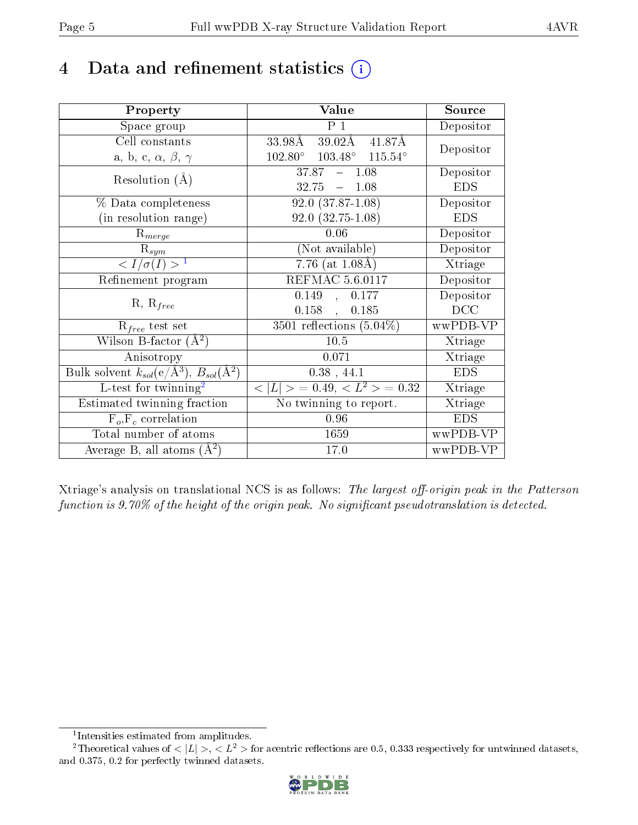# 4 Data and refinement statistics  $(i)$

| Property                                                         | Value                                              | Source     |
|------------------------------------------------------------------|----------------------------------------------------|------------|
| Space group                                                      | $\overline{P_1}$                                   | Depositor  |
| Cell constants                                                   | 39.02Å 41.87Å<br>33.98Å                            | Depositor  |
| a, b, c, $\alpha$ , $\beta$ , $\gamma$                           | $102.80^{\circ}$ $103.48^{\circ}$ $115.54^{\circ}$ |            |
| Resolution $(A)$                                                 | $37.87 - 1.08$                                     | Depositor  |
|                                                                  | 32.75<br>$-1.08$                                   | <b>EDS</b> |
| % Data completeness                                              | $\overline{92.0}$ $(37.87-1.08)$                   | Depositor  |
| (in resolution range)                                            | $92.0(32.75-1.08)$                                 | <b>EDS</b> |
| $R_{merge}$                                                      | 0.06                                               | Depositor  |
| $\mathrm{R}_{sym}$                                               | (Not available)                                    | Depositor  |
| $\langle I/\sigma(I) \rangle^{-1}$                               | 7.76 (at $1.08\text{\AA}$ )                        | Xtriage    |
| Refinement program                                               | <b>REFMAC 5.6.0117</b>                             | Depositor  |
|                                                                  | 0.149<br>0.177<br>$\mathcal{L}_{\mathcal{A}}$      | Depositor  |
| $R, R_{free}$                                                    | $0.158$ ,<br>0.185                                 | DCC        |
| $\mathcal{R}_{free}$ test set                                    | $3501$ reflections $(5.04\%)$                      | wwPDB-VP   |
| Wilson B-factor $(A^2)$                                          | $10.5$                                             | Xtriage    |
| Anisotropy                                                       | 0.071                                              | Xtriage    |
| Bulk solvent $k_{sol}(\text{e}/\text{A}^3), B_{sol}(\text{A}^2)$ | $0.38$ , 44.1                                      | <b>EDS</b> |
| L-test for $\mathrm{twinning}^2$                                 | $< L >$ = 0.49, $< L^2 >$ = 0.32                   | Xtriage    |
| Estimated twinning fraction                                      | $\overline{\text{No}}$ twinning to report.         | Xtriage    |
| $\overline{F_o}, \overline{F_c}$ correlation                     | 0.96                                               | <b>EDS</b> |
| Total number of atoms                                            | 1659                                               | wwPDB-VP   |
| Average B, all atoms $(A^2)$                                     | 17.0                                               | wwPDB-VP   |

Xtriage's analysis on translational NCS is as follows: The largest off-origin peak in the Patterson function is  $9.70\%$  of the height of the origin peak. No significant pseudotranslation is detected.

<sup>&</sup>lt;sup>2</sup>Theoretical values of  $\langle |L| \rangle$ ,  $\langle L^2 \rangle$  for acentric reflections are 0.5, 0.333 respectively for untwinned datasets, and 0.375, 0.2 for perfectly twinned datasets.



<span id="page-4-1"></span><span id="page-4-0"></span><sup>1</sup> Intensities estimated from amplitudes.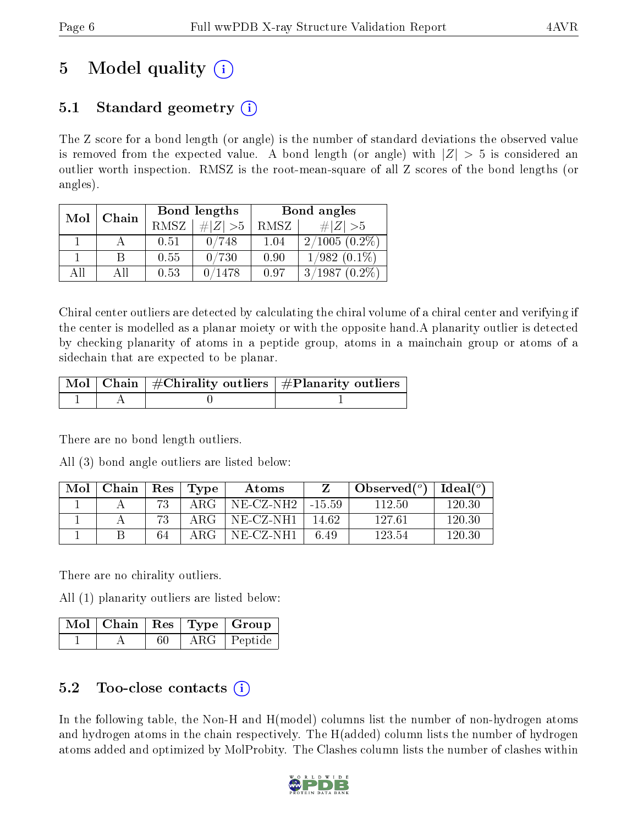# 5 Model quality  $(i)$

## 5.1 Standard geometry  $\overline{()}$

The Z score for a bond length (or angle) is the number of standard deviations the observed value is removed from the expected value. A bond length (or angle) with  $|Z| > 5$  is considered an outlier worth inspection. RMSZ is the root-mean-square of all Z scores of the bond lengths (or angles).

| Mol | Chain |             | Bond lengths | Bond angles |                     |  |
|-----|-------|-------------|--------------|-------------|---------------------|--|
|     |       | <b>RMSZ</b> | # $ Z  > 5$  | RMSZ        | # $ Z  > 5$         |  |
|     |       | 0.51        | 0/748        | 1.04        | $2/1005(0.2\%)$     |  |
|     | B     | 0.55        | 0/730        | 0.90        | $1/982$ $(0.1\%)$   |  |
| ΑĦ  | ΑII   | 0.53        | 0/1478       | 0.97        | 3/1987<br>$(0.2\%)$ |  |

Chiral center outliers are detected by calculating the chiral volume of a chiral center and verifying if the center is modelled as a planar moiety or with the opposite hand.A planarity outlier is detected by checking planarity of atoms in a peptide group, atoms in a mainchain group or atoms of a sidechain that are expected to be planar.

|  | $\lceil \, \text{Mol} \, \rceil$ Chain $\mid \# \text{Chirality outliers} \mid \# \text{Planarity outliers} \mid$ |
|--|-------------------------------------------------------------------------------------------------------------------|
|  |                                                                                                                   |

There are no bond length outliers.

All (3) bond angle outliers are listed below:

| Mol | Chain | $\operatorname{Res}$ | Type  | Atoms        |          | Observed $(^\circ)$ | Ideal $(^o)$ |
|-----|-------|----------------------|-------|--------------|----------|---------------------|--------------|
|     |       | 73                   | ARG   | $NE- CZ-NH2$ | $-15.59$ | 112.50              | 120.30       |
|     |       |                      | ARG   | NE-CZ-NH1    | 14 62    | 127.61              | 120.30       |
|     |       | 64                   | A R G | NE-CZ-NH1    | 6.49     | 123.54              | 120.30       |

There are no chirality outliers.

All (1) planarity outliers are listed below:

|  |  | $\sqrt{\text{Mol}}$   Chain   Res   Type   Group |
|--|--|--------------------------------------------------|
|  |  | ARG Peptide                                      |

## 5.2 Too-close contacts  $(i)$

In the following table, the Non-H and H(model) columns list the number of non-hydrogen atoms and hydrogen atoms in the chain respectively. The H(added) column lists the number of hydrogen atoms added and optimized by MolProbity. The Clashes column lists the number of clashes within

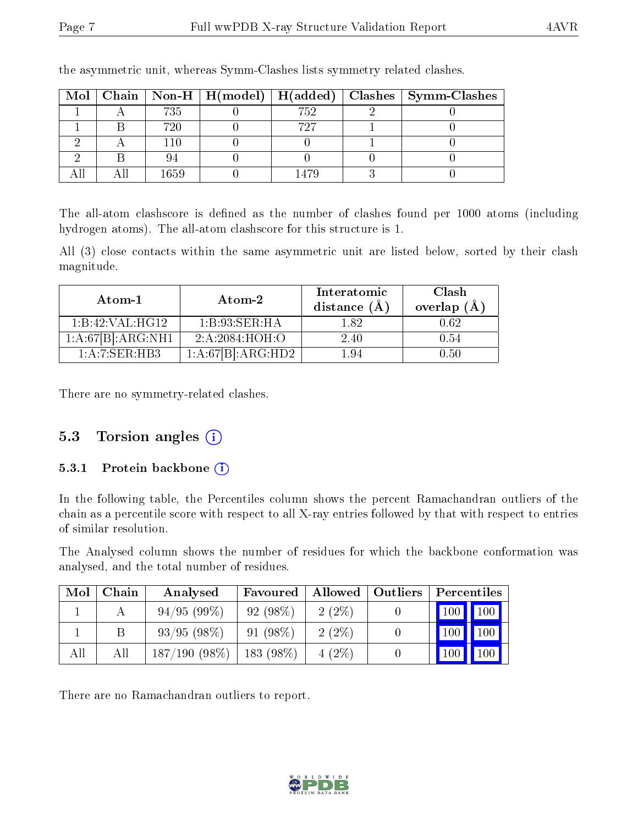|  |       |     | Mol   Chain   Non-H   H(model)   H(added)   Clashes   Symm-Clashes |
|--|-------|-----|--------------------------------------------------------------------|
|  | 735   | 752 |                                                                    |
|  | 720   | 797 |                                                                    |
|  | l 1 O |     |                                                                    |
|  |       |     |                                                                    |
|  | 1659  |     |                                                                    |

the asymmetric unit, whereas Symm-Clashes lists symmetry related clashes.

The all-atom clashscore is defined as the number of clashes found per 1000 atoms (including hydrogen atoms). The all-atom clashscore for this structure is 1.

All (3) close contacts within the same asymmetric unit are listed below, sorted by their clash magnitude.

| $\boldsymbol{\mathrm{Atom}\text{-}1}$ | Atom-2            | Interatomic<br>distance $(\AA)$ | Clash<br>overlap $(A)$ |
|---------------------------------------|-------------------|---------------------------------|------------------------|
| 1:B:42:VAL:HG12                       | 1:B:93:SER:HA     | 1.82                            | 0.62                   |
| 1:A:67[B]:ARG:NH1                     | 2: A:2084: HOH:O  | 2.40                            | 0.54                   |
| 1: A:7: SER:HBB                       | 1:A:67[B]:ARG:HD2 | 194                             | 0.50                   |

There are no symmetry-related clashes.

### 5.3 Torsion angles  $(i)$

#### 5.3.1 Protein backbone  $(i)$

In the following table, the Percentiles column shows the percent Ramachandran outliers of the chain as a percentile score with respect to all X-ray entries followed by that with respect to entries of similar resolution.

The Analysed column shows the number of residues for which the backbone conformation was analysed, and the total number of residues.

| Mol | Chain | Analysed        | Favoured   | Allowed  | $\mid$ Outliers | Percentiles       |
|-----|-------|-----------------|------------|----------|-----------------|-------------------|
|     |       | 94/95(99%)      | 92(98%)    | $2(2\%)$ |                 | 100<br>100        |
|     |       | 93/95(98%)      | $91(98\%)$ | $2(2\%)$ |                 | $100 \mid$<br>100 |
| All | All   | $187/190(98\%)$ | 183 (98%)  | $4(2\%)$ |                 | 100<br>100        |

There are no Ramachandran outliers to report.

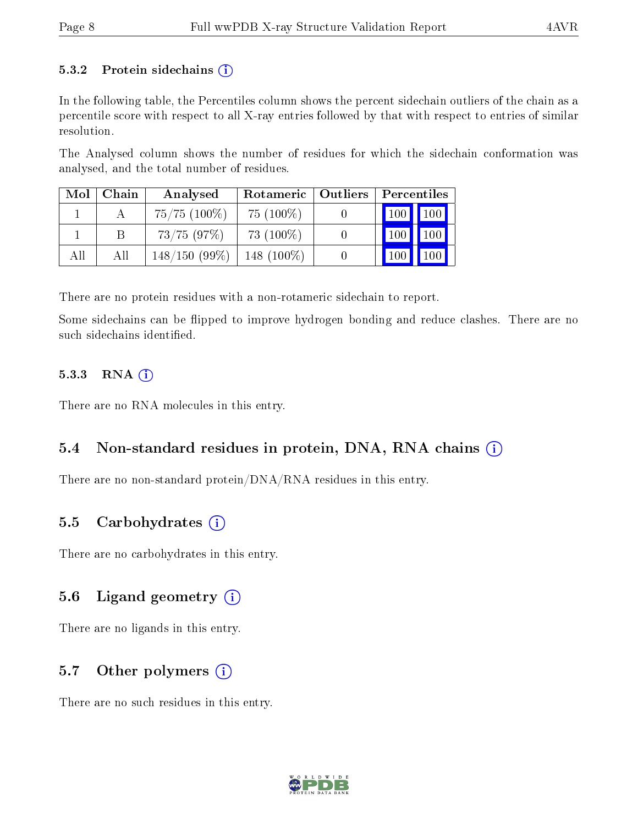#### 5.3.2 Protein sidechains  $(i)$

In the following table, the Percentiles column shows the percent sidechain outliers of the chain as a percentile score with respect to all X-ray entries followed by that with respect to entries of similar resolution.

The Analysed column shows the number of residues for which the sidechain conformation was analysed, and the total number of residues.

| Mol | Chain | Analysed          | Rotameric   Outliers | Percentiles |                 |
|-----|-------|-------------------|----------------------|-------------|-----------------|
|     |       | $75/75$ $(100\%)$ | $75(100\%)$          | 100         | 100             |
|     |       | 73/75(97%)        | 73 $(100\%)$         |             | $100^{\degree}$ |
| All | All   | $148/150(99\%)$   | 148 $(100\%)$        |             |                 |

There are no protein residues with a non-rotameric sidechain to report.

Some sidechains can be flipped to improve hydrogen bonding and reduce clashes. There are no such sidechains identified.

#### $5.3.3$  RNA  $(i)$

There are no RNA molecules in this entry.

## 5.4 Non-standard residues in protein, DNA, RNA chains  $(i)$

There are no non-standard protein/DNA/RNA residues in this entry.

### 5.5 Carbohydrates  $(i)$

There are no carbohydrates in this entry.

### 5.6 Ligand geometry  $(i)$

There are no ligands in this entry.

## 5.7 [O](https://www.wwpdb.org/validation/2017/XrayValidationReportHelp#nonstandard_residues_and_ligands)ther polymers  $(i)$

There are no such residues in this entry.

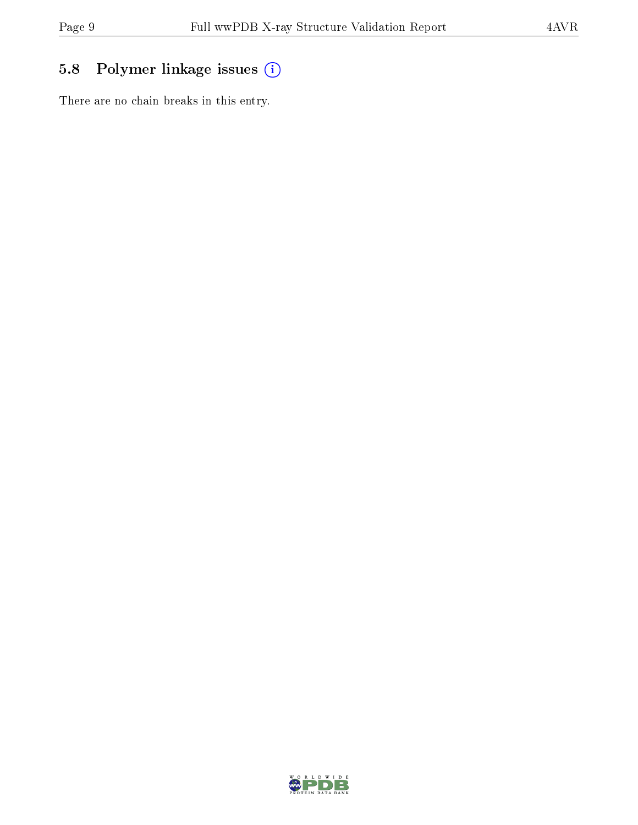# 5.8 Polymer linkage issues (i)

There are no chain breaks in this entry.